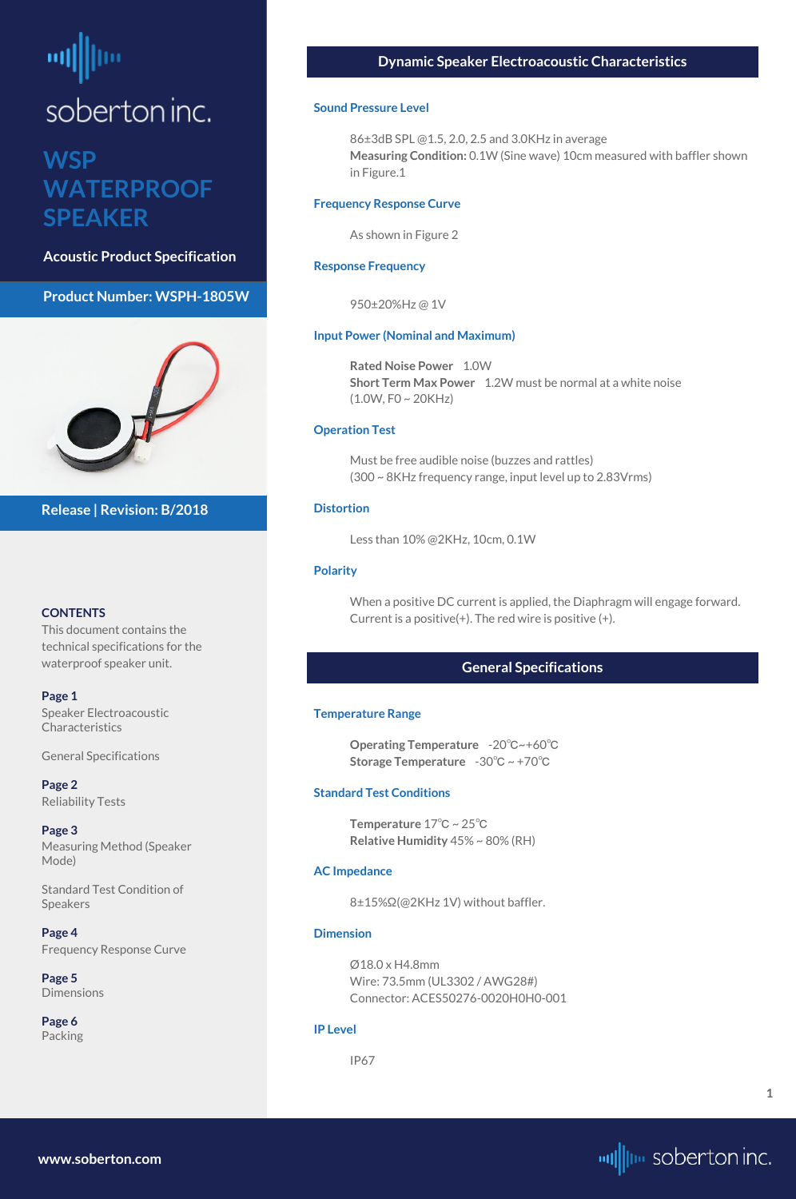# <span id="page-0-0"></span>soberton inc.

## **WSP WATERPROOF SPEAKER**

**Acoustic Product Specification**

#### **Product Number: WSPH-1805W**



#### **CONTENTS**

This document contains the technical specifications for the waterproof speaker unit.

#### **Page 1**

**[Page 5](#page-4-0) [Dimensions](#page-4-0)** 

Speaker Electroacoustic Characteristics

General Specifications

**[Page 2](#page-1-0)** [Reliability Tests](#page-1-0)

**[Page 3](#page-2-0)** [Measuring Method \(Speaker](#page-2-0)  [Mode\)](#page-2-0)

[Standard Test Condition of](#page-1-0)  [Speakers](#page-1-0)

**[Page 4](#page-3-0)** [Frequency Response Curve](#page-3-0)

**Rated Noise Power** 1.0W **Short Term Max Power** 1.2W must be normal at a white noise  $(1.0W, F0 \sim 20KHz)$ 

**[Page 6](#page-5-0)** [Packing](#page-5-0)

**Release | Revision: B/2018**

#### **Dynamic Speaker Electroacoustic Characteristics**

#### **Sound Pressure Level**

86±3dB SPL @1.5, 2.0, 2.5 and 3.0KHz in average **Measuring Condition:** 0.1W (Sine wave) 10cm measured with baffler shown in Figure.1

#### **Frequency Response Curve**

As shown in Figure 2

#### **Response Frequency**

950±20%Hz @ 1V

#### **Input Power (Nominal and Maximum)**

#### **Operation Test**

Must be free audible noise (buzzes and rattles) (300 ~ 8KHz frequency range, input level up to 2.83Vrms)

#### **Distortion**

Less than 10% @2KHz, 10cm, 0.1W

#### **Polarity**

When a positive DC current is applied, the Diaphragm will engage forward. Current is a positive(+). The red wire is positive (+).

#### **General Specifications**

#### **Temperature Range**

**Operating Temperature** -20℃~+60℃ **Storage Temperature** -30℃ ~ +70℃

#### **Standard Test Conditions**

**Temperature** 17℃ ~ 25℃ **Relative Humidity** 45% ~ 80% (RH)

#### **AC Impedance**

8±15%Ω(@2KHz 1V) without baffler.

#### **Dimension**

Ø18.0 x H4.8mm Wire: 73.5mm (UL3302 / AWG28#) Connector: ACES50276-0020H0H0-001

#### **IP Level**

IP67

**[www.soberton.com](http://www.soberton.com)**



**1**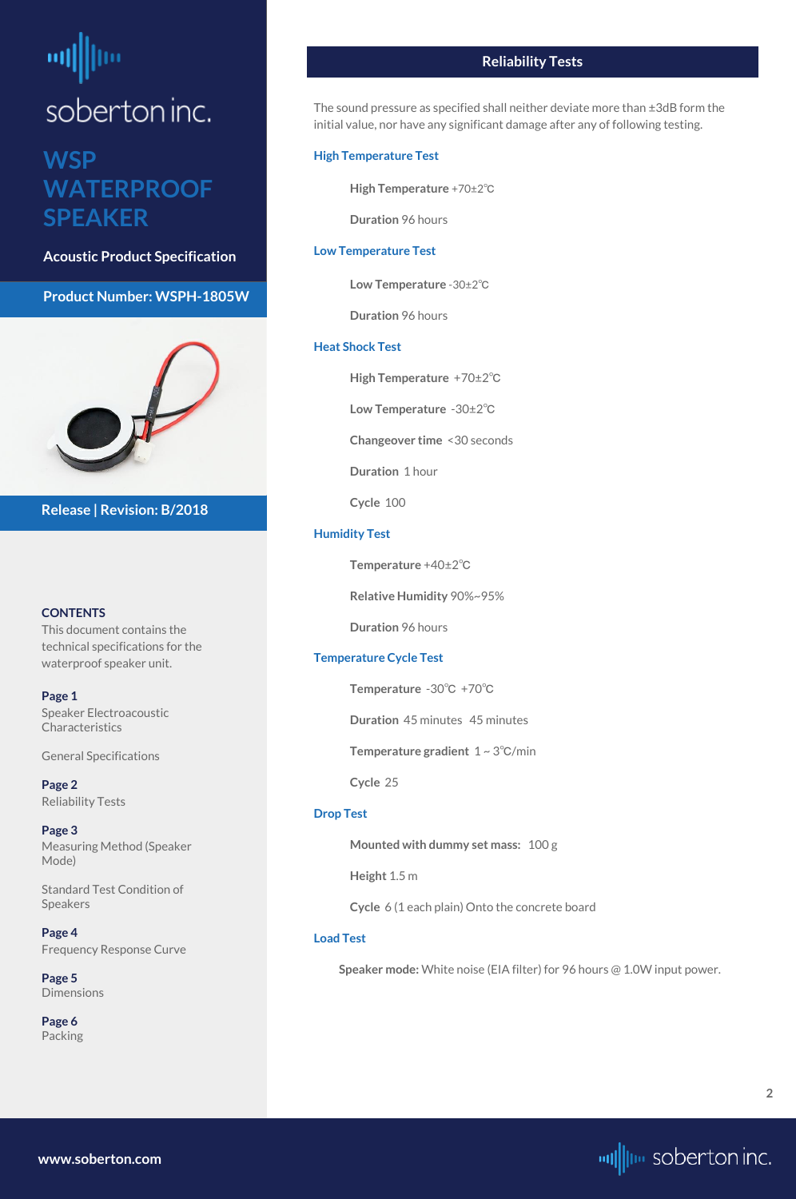# <span id="page-1-0"></span>soberton inc.

## **WSP WATERPROOF SPEAKER**

**Acoustic Product Specification**

**Product Number: WSPH-1805W**



#### **CONTENTS**

**[Page 1](#page-0-0)** [Speaker Electroacoustic](#page-0-0)  **Characteristics** 

This document contains the technical specifications for the waterproof speaker unit.

**[Page 5](#page-4-0) [Dimensions](#page-4-0)** 

[General S](#page-0-0)pecifications

**Page 2** Reliability Tests

**[Page 3](#page-2-0)** [Measuring Method \(Speaker](#page-2-0)  [Mode\)](#page-2-0)

Standard Test Condition of Speakers

**[Page 4](#page-3-0)** [Frequency Response Curve](#page-3-0)

**[Page 6](#page-5-0)** [Packing](#page-5-0)

**Release | Revision: B/2018**

#### **Reliability Tests**

The sound pressure as specified shall neither deviate more than ±3dB form the initial value, nor have any significant damage after any of following testing.

#### **High Temperature Test**

**High Temperature** +70±2℃

**Duration** 96 hours

#### **Low Temperature Test**

**Low Temperature** -30±2℃

**Duration** 96 hours

#### **Heat Shock Test**

**High Temperature** +70±2℃

**Low Temperature** -30±2℃

**Changeover time** <30 seconds

**Duration** 1 hour

**Cycle** 100

#### **Humidity Test**

**Temperature** +40±2℃

**Relative Humidity** 90%~95%

**Duration** 96 hours

#### **Temperature Cycle Test**

**Temperature** -30℃ +70℃

**Duration** 45 minutes 45 minutes

**Temperature gradient** 1 ~ 3℃/min

**Cycle** 25

#### **Drop Test**

**Mounted with dummy set mass:** 100 g

**Height** 1.5 m

**Cycle** 6 (1 each plain) Onto the concrete board

#### **Load Test**

**Speaker mode:** White noise (EIA filter) for 96 hours @ 1.0W input power.

**[www.soberton.com](http://www.soberton.com)**

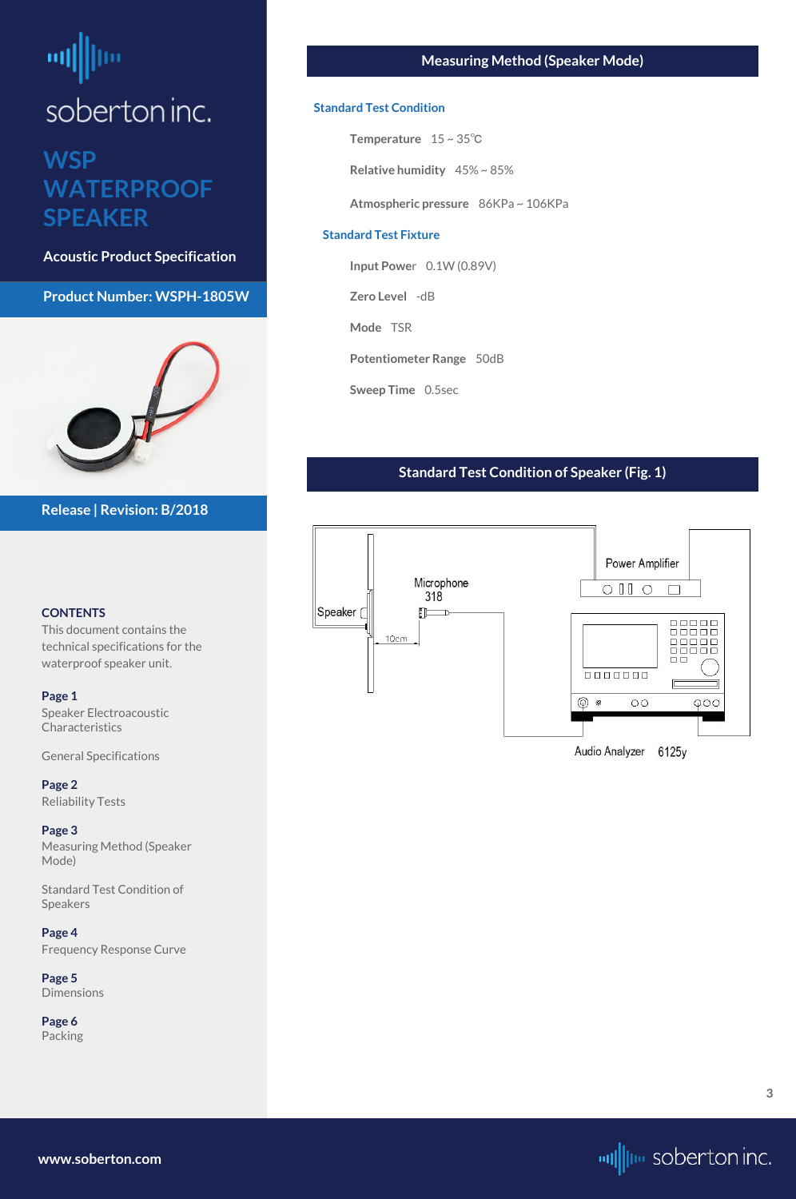# <span id="page-2-0"></span>뻬 soberton inc.

## **WSP WATERPROOF SPEAKER**

**Acoustic Product Specification**

#### **Product Number: WSPH-1805W**



#### **CONTENTS**

[Speaker Electroacoustic](#page-0-0)  **Characteristics** 

This document contains the technical specifications for the waterproof speaker unit.

#### **[Page 1](#page-0-0)**

[General S](#page-0-0)pecifications

**[Page 2](#page-1-0)** [Reliability Tests](#page-1-0)

**Page 3** Measuring Method (Speaker Mode)

[Standard Test Condition of](#page-1-0)  [Speakers](#page-1-0)

**[Page 4](#page-3-0)** [Frequency Response Curve](#page-3-0)

**[Page 5](#page-4-0)** [Dimensions](#page-4-0)

**[Page 6](#page-5-0)** [Packing](#page-5-0)

#### **Release | Revision: B/2018**

#### **Measuring Method (Speaker Mode)**

#### **Standard Test Condition**

**Temperature** 15 ~ 35℃

**Relative humidity** 45% ~ 85%

**Atmospheric pressure** 86KPa ~ 106KPa

#### **Standard Test Fixture**

**Input Powe**r 0.1W (0.89V)

**Zero Level** -dB

**Mode** TSR

**Potentiometer Range** 50dB

**Sweep Time** 0.5sec

#### **Standard Test Condition of Speaker (Fig. 1)**



**[www.soberton.com](http://www.soberton.com)**

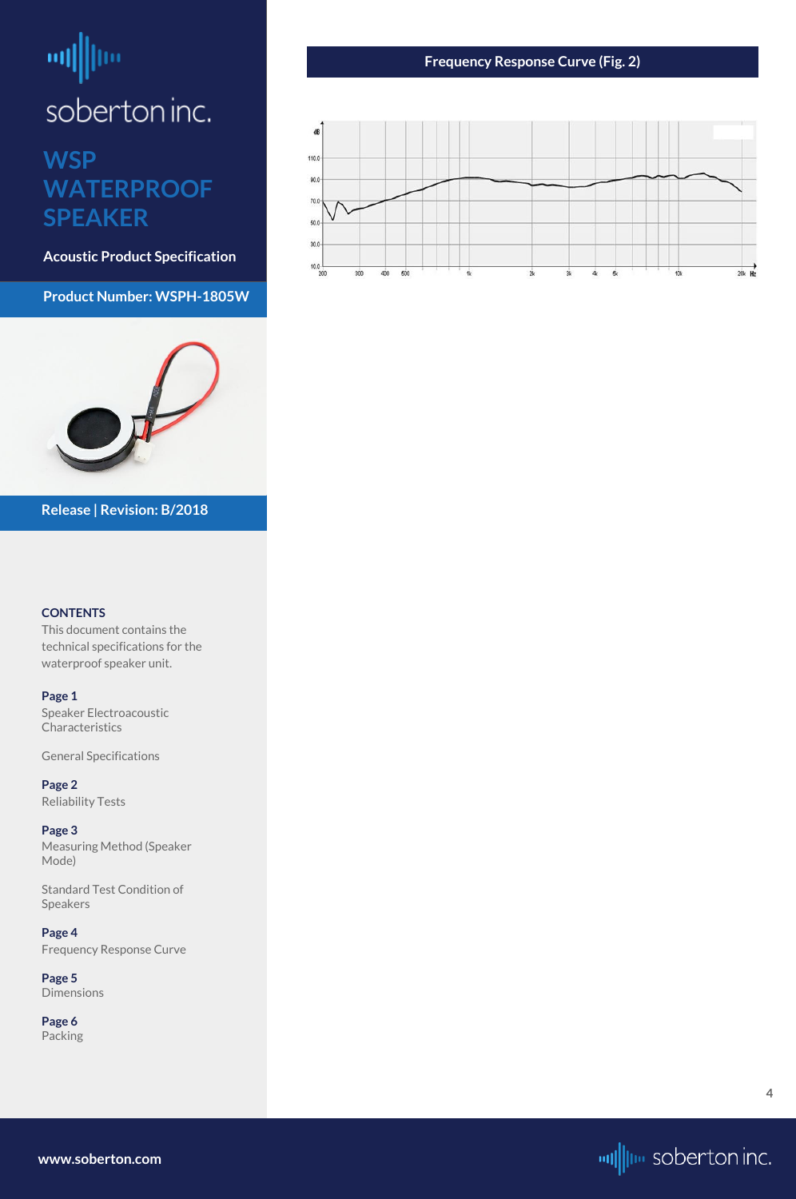# <span id="page-3-0"></span>ᆒ soberton inc.

### **WSP WATERPROOF SPEAKER**

**Acoustic Product Specification**

**Product Number: WSPH-1805W**



#### **CONTENTS**

**[Page 1](#page-0-0)** [Speaker Electroacoustic](#page-0-0)  **Characteristics** 

This document contains the technical specifications for the waterproof speaker unit.

[General S](#page-0-0)pecifications

**[Page 2](#page-1-0)** [Reliability Tests](#page-1-0)

**[Page 3](#page-2-0)** [Measuring Method \(Speaker](#page-2-0)  [Mode\)](#page-2-0)

[Standard Test Condition of](#page-1-0)  [Speakers](#page-1-0)

**Page 4** Frequency Response Curve

**[Page 5](#page-4-0)** [Dimensions](#page-4-0)

**[Page 6](#page-5-0)** [Packing](#page-5-0)

**Release | Revision: B/2018**

#### **Frequency Response Curve (Fig. 2)**



**[www.soberton.com](http://www.soberton.com)**



**4**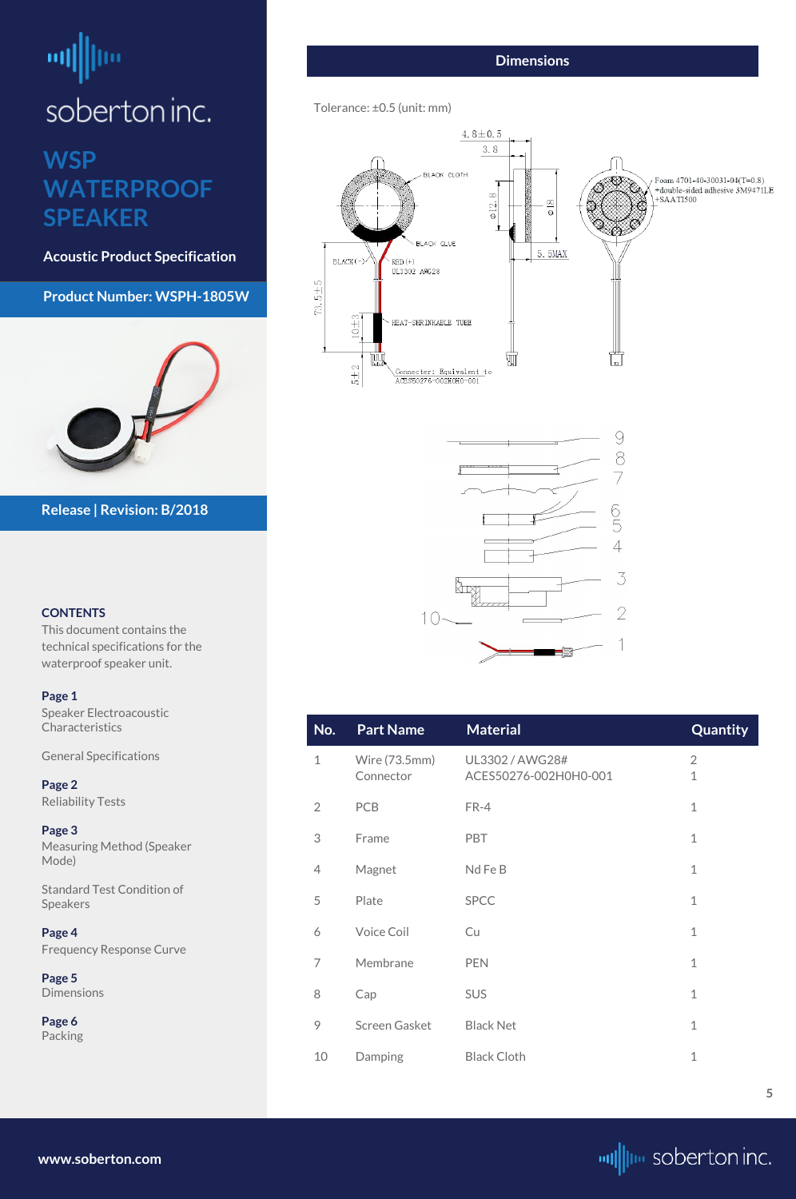# <span id="page-4-0"></span>шļ soberton inc.

## **WSP WATERPROOF SPEAKER**

**Acoustic Product Specification**

**Product Number: WSPH-1805W**



#### **CONTENTS**

[Speaker Electroacoustic](#page-0-0)  **Characteristics** 

This document contains the technical specifications for the waterproof speaker unit.

#### **[Page 1](#page-0-0)**

[General S](#page-0-0)pecifications

**[Page 2](#page-1-0)** [Reliability Tests](#page-1-0)

**[Page 3](#page-2-0)** [Measuring Method \(Speaker](#page-2-0)  [Mode\)](#page-2-0)

[Standard Test Condition of](#page-1-0)  [Speakers](#page-1-0)

**[Page 4](#page-3-0)** [Frequency Response Curve](#page-3-0)

**Page 5** Dimensions

**[Page 6](#page-5-0)** [Packing](#page-5-0)

**Release | Revision: B/2018**

**[www.soberton.com](http://www.soberton.com)**



#### **Dimensions**

#### Tolerance: ±0.5 (unit: mm)





| No.            | <b>Part Name</b>           | <b>Material</b>                          | Quantity |
|----------------|----------------------------|------------------------------------------|----------|
| $\mathbf 1$    | Wire (73.5mm)<br>Connector | UL3302 / AWG28#<br>ACES50276-002H0H0-001 | 2<br>1   |
| $\overline{2}$ | <b>PCB</b>                 | FR-4                                     | 1        |
| 3              | Frame                      | <b>PBT</b>                               | 1        |
| 4              | Magnet                     | Nd Fe B                                  | 1        |
| 5              | Plate                      | <b>SPCC</b>                              |          |

| 6  | <b>Voice Coil</b> | Cu                 |   |
|----|-------------------|--------------------|---|
| 7  | Membrane          | <b>PEN</b>         | 1 |
| 8  | Cap               | <b>SUS</b>         |   |
| 9  | Screen Gasket     | <b>Black Net</b>   |   |
| 10 | Damping           | <b>Black Cloth</b> |   |